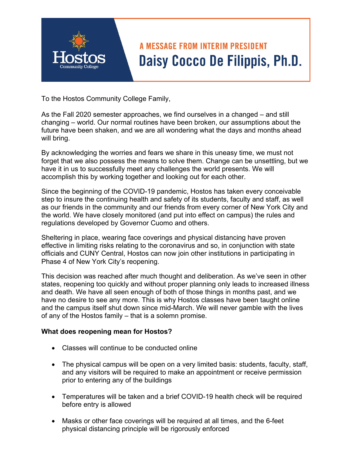## **A MESSAGE FROM INTERIM PRESIDENT** Daisy Cocco De Filippis, Ph.D.

To the Hostos Community College Family,

As the Fall 2020 semester approaches, we find ourselves in a changed – and still changing – world. Our normal routines have been broken, our assumptions about the future have been shaken, and we are all wondering what the days and months ahead will bring.

By acknowledging the worries and fears we share in this uneasy time, we must not forget that we also possess the means to solve them. Change can be unsettling, but we have it in us to successfully meet any challenges the world presents. We will accomplish this by working together and looking out for each other.

Since the beginning of the COVID-19 pandemic, Hostos has taken every conceivable step to insure the continuing health and safety of its students, faculty and staff, as well as our friends in the community and our friends from every corner of New York City and the world. We have closely monitored (and put into effect on campus) the rules and regulations developed by Governor Cuomo and others.

Sheltering in place, wearing face coverings and physical distancing have proven effective in limiting risks relating to the coronavirus and so, in conjunction with state officials and CUNY Central, Hostos can now join other institutions in participating in Phase 4 of New York City's reopening.

This decision was reached after much thought and deliberation. As we've seen in other states, reopening too quickly and without proper planning only leads to increased illness and death. We have all seen enough of both of those things in months past, and we have no desire to see any more. This is why Hostos classes have been taught online and the campus itself shut down since mid-March. We will never gamble with the lives of any of the Hostos family – that is a solemn promise.

## **What does reopening mean for Hostos?**

- Classes will continue to be conducted online
- The physical campus will be open on a very limited basis: students, faculty, staff, and any visitors will be required to make an appointment or receive permission prior to entering any of the buildings
- Temperatures will be taken and a brief COVID-19 health check will be required before entry is allowed
- Masks or other face coverings will be required at all times, and the 6-feet physical distancing principle will be rigorously enforced